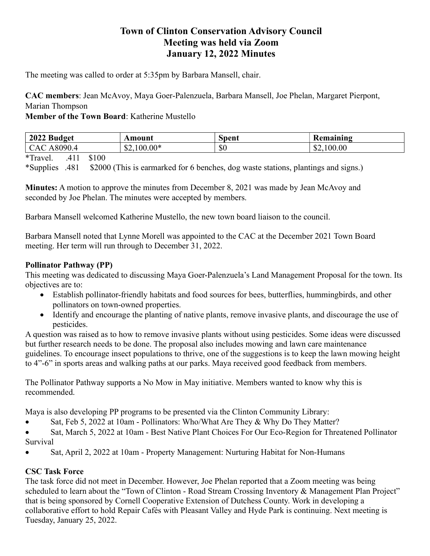## Town of Clinton Conservation Advisory Council Meeting was held via Zoom January 12, 2022 Minutes

The meeting was called to order at 5:35pm by Barbara Mansell, chair.

CAC members: Jean McAvoy, Maya Goer-Palenzuela, Barbara Mansell, Joe Phelan, Margaret Pierpont, Marian Thompson

Member of the Town Board: Katherine Mustello

| 2022 Budget                                 | Amount       | Spent | Remaining  |
|---------------------------------------------|--------------|-------|------------|
| CAC A8090.4                                 | $$2,100.00*$ | \$0   | \$2,100.00 |
| $\mathbf{A}$<br>$\sim$ 4 $\sim$ $\sim$<br>. |              |       |            |

\*Travel. .411 \$100

\*Supplies .481 \$2000 (This is earmarked for 6 benches, dog waste stations, plantings and signs.)

Minutes: A motion to approve the minutes from December 8, 2021 was made by Jean McAvoy and seconded by Joe Phelan. The minutes were accepted by members.

Barbara Mansell welcomed Katherine Mustello, the new town board liaison to the council.

Barbara Mansell noted that Lynne Morell was appointed to the CAC at the December 2021 Town Board meeting. Her term will run through to December 31, 2022.

## Pollinator Pathway (PP)

This meeting was dedicated to discussing Maya Goer-Palenzuela's Land Management Proposal for the town. Its objectives are to:

- Establish pollinator-friendly habitats and food sources for bees, butterflies, hummingbirds, and other pollinators on town-owned properties.
- Identify and encourage the planting of native plants, remove invasive plants, and discourage the use of pesticides.

A question was raised as to how to remove invasive plants without using pesticides. Some ideas were discussed but further research needs to be done. The proposal also includes mowing and lawn care maintenance guidelines. To encourage insect populations to thrive, one of the suggestions is to keep the lawn mowing height to 4"-6" in sports areas and walking paths at our parks. Maya received good feedback from members.

The Pollinator Pathway supports a No Mow in May initiative. Members wanted to know why this is recommended.

Maya is also developing PP programs to be presented via the Clinton Community Library:

Sat, Feb 5, 2022 at 10am - Pollinators: Who/What Are They & Why Do They Matter?

 Sat, March 5, 2022 at 10am - Best Native Plant Choices For Our Eco-Region for Threatened Pollinator Survival

Sat, April 2, 2022 at 10am - Property Management: Nurturing Habitat for Non-Humans

## CSC Task Force

The task force did not meet in December. However, Joe Phelan reported that a Zoom meeting was being scheduled to learn about the "Town of Clinton - Road Stream Crossing Inventory & Management Plan Project" that is being sponsored by Cornell Cooperative Extension of Dutchess County. Work in developing a collaborative effort to hold Repair Cafés with Pleasant Valley and Hyde Park is continuing. Next meeting is Tuesday, January 25, 2022.